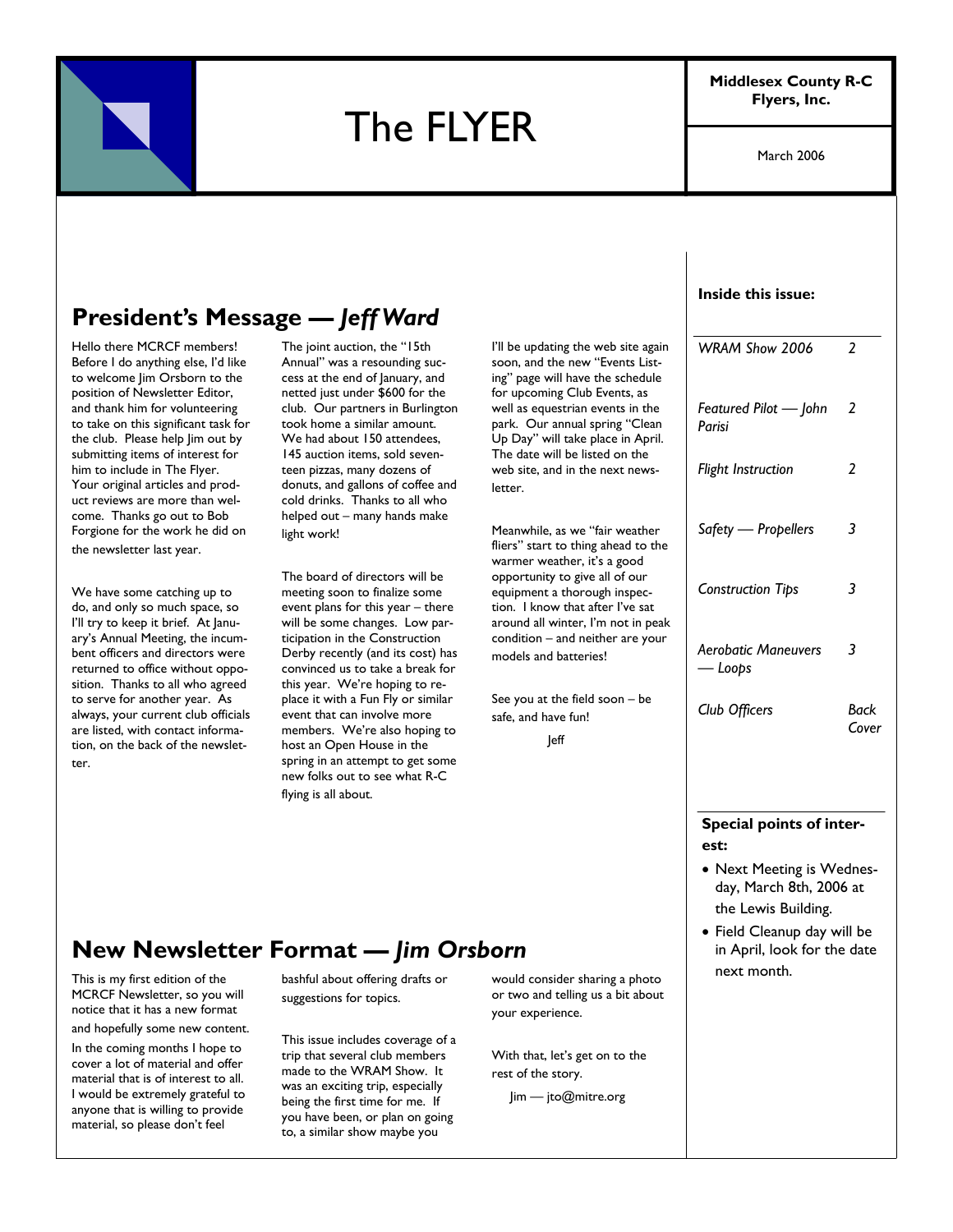

# The FLYER

**Middlesex County R-C Flyers, Inc.** 

March 2006

## **President's Message —** *Jeff Ward*

Hello there MCRCF members! Before I do anything else, I'd like to welcome Jim Orsborn to the position of Newsletter Editor, and thank him for volunteering to take on this significant task for the club. Please help Jim out by submitting items of interest for him to include in The Flyer. Your original articles and product reviews are more than welcome. Thanks go out to Bob Forgione for the work he did on the newsletter last year.

We have some catching up to do, and only so much space, so I'll try to keep it brief. At January's Annual Meeting, the incumbent officers and directors were returned to office without opposition. Thanks to all who agreed to serve for another year. As always, your current club officials are listed, with contact information, on the back of the newsletter.

The joint auction, the "15th Annual" was a resounding success at the end of January, and netted just under \$600 for the club. Our partners in Burlington took home a similar amount. We had about 150 attendees, 145 auction items, sold seventeen pizzas, many dozens of donuts, and gallons of coffee and cold drinks. Thanks to all who helped out – many hands make light work!

The board of directors will be meeting soon to finalize some event plans for this year – there will be some changes. Low participation in the Construction Derby recently (and its cost) has convinced us to take a break for this year. We're hoping to replace it with a Fun Fly or similar event that can involve more members. We're also hoping to host an Open House in the spring in an attempt to get some new folks out to see what R-C flying is all about.

I'll be updating the web site again soon, and the new "Events Listing" page will have the schedule for upcoming Club Events, as well as equestrian events in the park. Our annual spring "Clean Up Day" will take place in April. The date will be listed on the web site, and in the next newsletter.

Meanwhile, as we "fair weather fliers" start to thing ahead to the warmer weather, it's a good opportunity to give all of our equipment a thorough inspection. I know that after I've sat around all winter, I'm not in peak condition – and neither are your models and batteries!

See you at the field soon – be safe, and have fun!

Jeff

#### **Inside this issue:**

| WRAM Show 2006                        | 2             |
|---------------------------------------|---------------|
| Featured Pilot - John<br>Parisi       | 2             |
| <b>Flight Instruction</b>             | 2             |
| Safety - Propellers                   | 3             |
| <b>Construction Tips</b>              | 3             |
| <b>Aerobatic Maneuvers</b><br>— Loops | 3             |
| Club Officers                         | Back<br>Cover |
|                                       |               |

**Special points of interest:** 

- Next Meeting is Wednesday, March 8th, 2006 at the Lewis Building.
- Field Cleanup day will be in April, look for the date next month.

## **New Newsletter Format —** *Jim Orsborn*

This is my first edition of the MCRCF Newsletter, so you will notice that it has a new format

and hopefully some new content. In the coming months I hope to cover a lot of material and offer material that is of interest to all. I would be extremely grateful to

anyone that is willing to provide material, so please don't feel

bashful about offering drafts or suggestions for topics.

This issue includes coverage of a trip that several club members made to the WRAM Show. It was an exciting trip, especially being the first time for me. If you have been, or plan on going to, a similar show maybe you

would consider sharing a photo or two and telling us a bit about your experience.

With that, let's get on to the rest of the story.

Jim — jto@mitre.org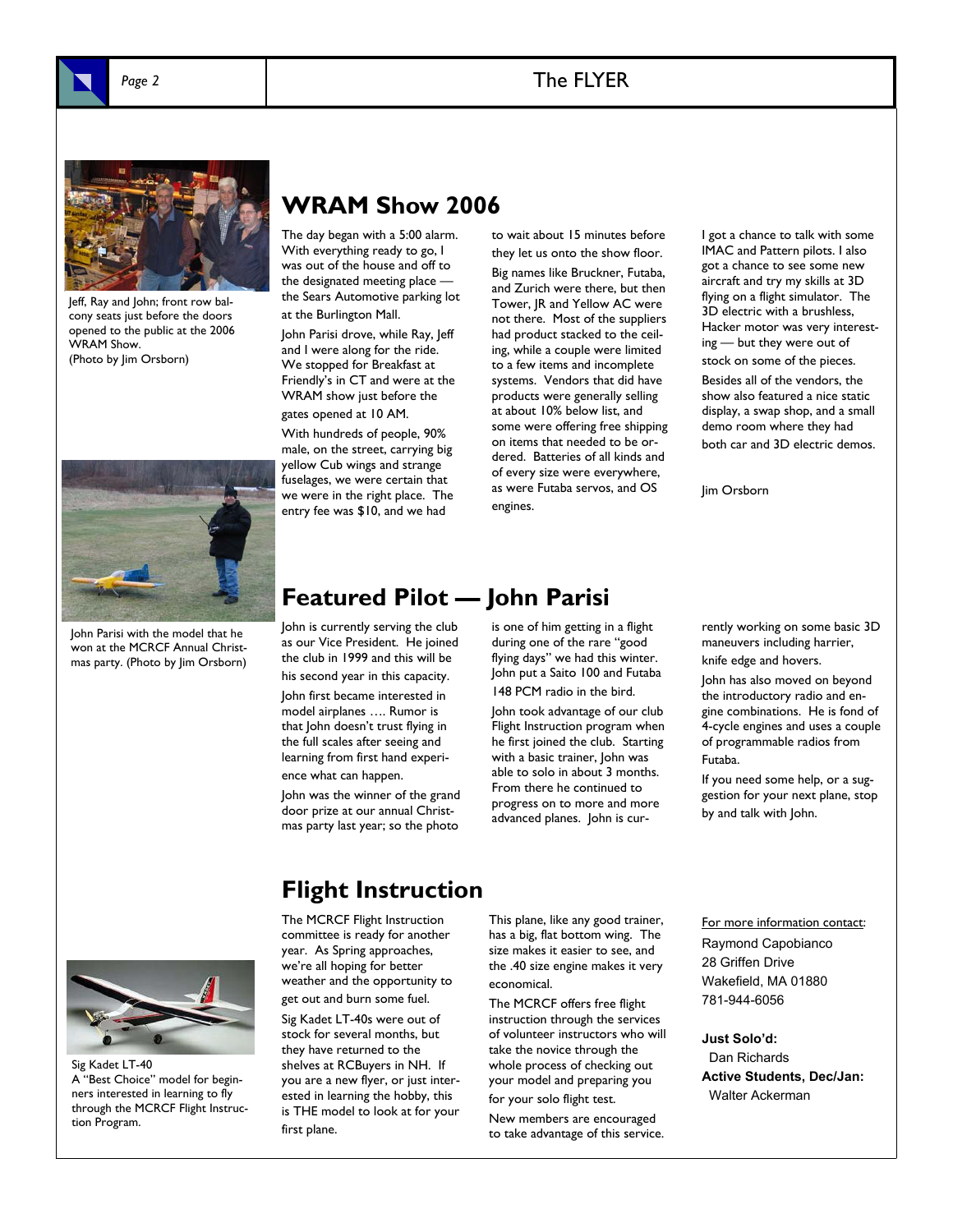

### Page 2 and 2 and 2 and 2 and 2 and 2 and 2 and 2 and 2 and 2 and 2 and 2 and 2 and 2 and 2 and 2 and 2 and 2 and 2 and 2 and 2 and 2 and 2 and 2 and 2 and 2 and 2 and 2 and 2 and 2 and 2 and 2 and 2 and 2 and 2 and 2 and 2



Jeff, Ray and John; front row balcony seats just before the doors opened to the public at the 2006 WRAM Show. (Photo by Jim Orsborn)



John Parisi with the model that he won at the MCRCF Annual Christmas party. (Photo by Jim Orsborn)

## **WRAM Show 2006**

The day began with a 5:00 alarm. With everything ready to go, I was out of the house and off to the designated meeting place the Sears Automotive parking lot at the Burlington Mall.

John Parisi drove, while Ray, Jeff and I were along for the ride. We stopped for Breakfast at Friendly's in CT and were at the WRAM show just before the gates opened at 10 AM.

With hundreds of people, 90% male, on the street, carrying big yellow Cub wings and strange fuselages, we were certain that we were in the right place. The entry fee was \$10, and we had

to wait about 15 minutes before they let us onto the show floor.

Big names like Bruckner, Futaba, and Zurich were there, but then Tower, JR and Yellow AC were not there. Most of the suppliers had product stacked to the ceiling, while a couple were limited to a few items and incomplete systems. Vendors that did have products were generally selling at about 10% below list, and some were offering free shipping on items that needed to be ordered. Batteries of all kinds and of every size were everywhere, as were Futaba servos, and OS engines.

I got a chance to talk with some IMAC and Pattern pilots. I also got a chance to see some new aircraft and try my skills at 3D flying on a flight simulator. The 3D electric with a brushless, Hacker motor was very interesting — but they were out of

stock on some of the pieces.

Besides all of the vendors, the show also featured a nice static display, a swap shop, and a small demo room where they had both car and 3D electric demos.

Jim Orsborn

## **Featured Pilot — John Parisi**

John is currently serving the club as our Vice President. He joined the club in 1999 and this will be his second year in this capacity. John first became interested in model airplanes …. Rumor is that John doesn't trust flying in the full scales after seeing and learning from first hand experience what can happen.

John was the winner of the grand door prize at our annual Christmas party last year; so the photo

is one of him getting in a flight during one of the rare "good flying days" we had this winter. John put a Saito 100 and Futaba 148 PCM radio in the bird.

John took advantage of our club Flight Instruction program when he first joined the club. Starting with a basic trainer, John was able to solo in about 3 months. From there he continued to progress on to more and more advanced planes. John is currently working on some basic 3D maneuvers including harrier, knife edge and hovers.

John has also moved on beyond the introductory radio and engine combinations. He is fond of 4-cycle engines and uses a couple of programmable radios from Futaba.

If you need some help, or a suggestion for your next plane, stop by and talk with John.



Sig Kadet LT-40 A "Best Choice" model for beginners interested in learning to fly through the MCRCF Flight Instruction Program.

## **Flight Instruction**

The MCRCF Flight Instruction committee is ready for another year. As Spring approaches, we're all hoping for better weather and the opportunity to get out and burn some fuel.

Sig Kadet LT-40s were out of stock for several months, but they have returned to the shelves at RCBuyers in NH. If you are a new flyer, or just interested in learning the hobby, this is THE model to look at for your first plane.

This plane, like any good trainer, has a big, flat bottom wing. The size makes it easier to see, and the .40 size engine makes it very economical.

The MCRCF offers free flight instruction through the services of volunteer instructors who will take the novice through the whole process of checking out your model and preparing you for your solo flight test. New members are encouraged to take advantage of this service.

For more information contact: Raymond Capobianco 28 Griffen Drive Wakefield, MA 01880 781-944-6056

**Just Solo'd:**  Dan Richards **Active Students, Dec/Jan:**  Walter Ackerman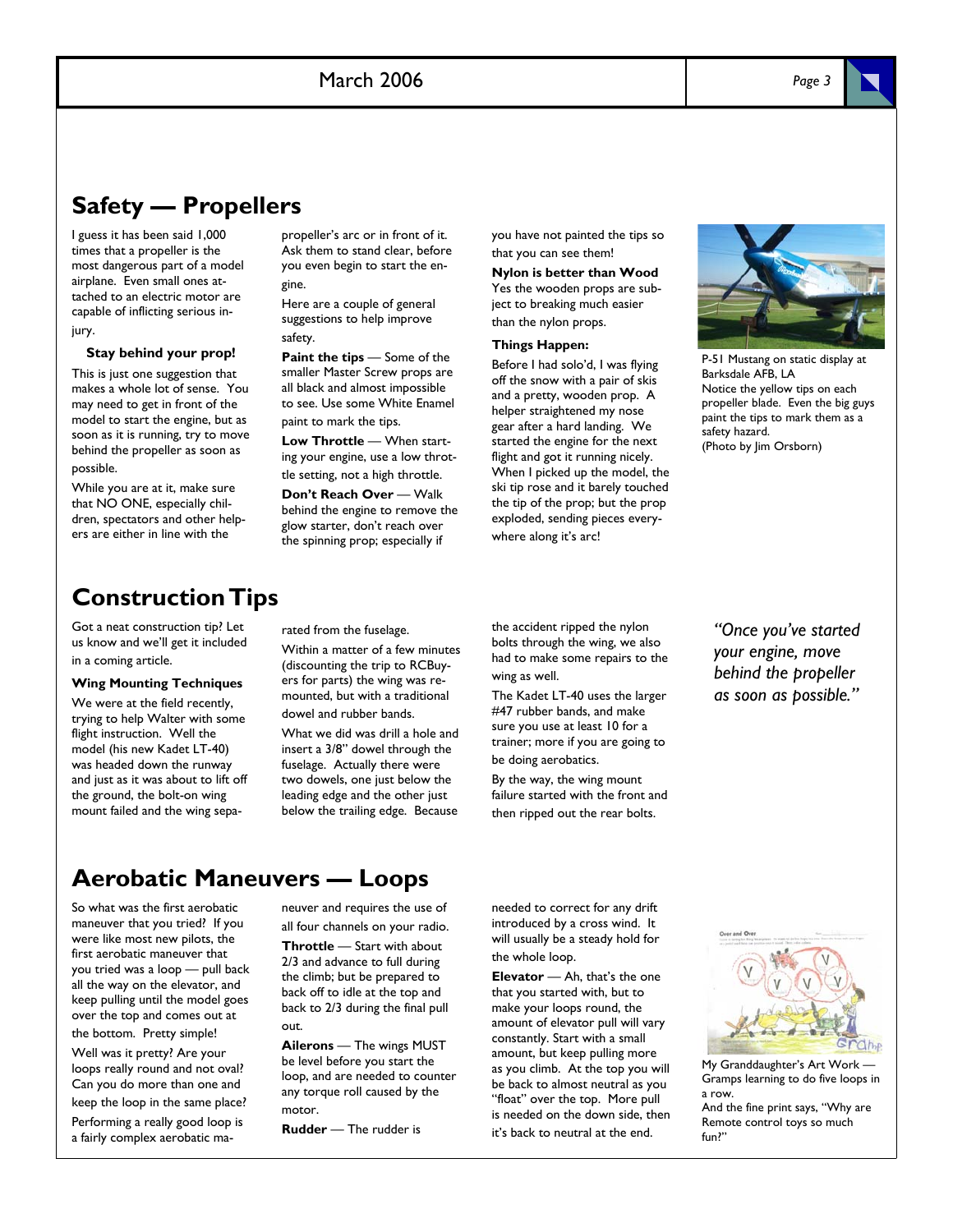## **Safety — Propellers**

I guess it has been said 1,000 times that a propeller is the most dangerous part of a model airplane. Even small ones attached to an electric motor are capable of inflicting serious injury.

#### **Stay behind your prop!**

This is just one suggestion that makes a whole lot of sense. You may need to get in front of the model to start the engine, but as soon as it is running, try to move behind the propeller as soon as possible.

While you are at it, make sure that NO ONE, especially children, spectators and other helpers are either in line with the

propeller's arc or in front of it. Ask them to stand clear, before you even begin to start the engine.

Here are a couple of general suggestions to help improve safety.

**Paint the tips** — Some of the smaller Master Screw props are all black and almost impossible to see. Use some White Enamel paint to mark the tips.

**Low Throttle** — When starting your engine, use a low throttle setting, not a high throttle.

**Don't Reach Over** — Walk behind the engine to remove the glow starter, don't reach over the spinning prop; especially if

you have not painted the tips so that you can see them!

**Nylon is better than Wood**  Yes the wooden props are subject to breaking much easier than the nylon props.

#### **Things Happen:**

Before I had solo'd, I was flying off the snow with a pair of skis and a pretty, wooden prop. A helper straightened my nose gear after a hard landing. We started the engine for the next flight and got it running nicely. When I picked up the model, the ski tip rose and it barely touched the tip of the prop; but the prop exploded, sending pieces everywhere along it's arc!



P-51 Mustang on static display at Barksdale AFB, LA Notice the yellow tips on each propeller blade. Even the big guys paint the tips to mark them as a safety hazard. (Photo by Jim Orsborn)

## **Construction Tips**

Got a neat construction tip? Let us know and we'll get it included in a coming article.

#### **Wing Mounting Techniques**

We were at the field recently, trying to help Walter with some flight instruction. Well the model (his new Kadet LT-40) was headed down the runway and just as it was about to lift off the ground, the bolt-on wing mount failed and the wing separated from the fuselage.

Within a matter of a few minutes (discounting the trip to RCBuyers for parts) the wing was remounted, but with a traditional dowel and rubber bands.

What we did was drill a hole and insert a 3/8" dowel through the fuselage. Actually there were two dowels, one just below the leading edge and the other just below the trailing edge. Because the accident ripped the nylon bolts through the wing, we also had to make some repairs to the wing as well.

The Kadet LT-40 uses the larger #47 rubber bands, and make sure you use at least 10 for a trainer; more if you are going to be doing aerobatics.

By the way, the wing mount failure started with the front and then ripped out the rear bolts.

*"Once you've started your engine, move behind the propeller as soon as possible."* 

## **Aerobatic Maneuvers — Loops**

So what was the first aerobatic maneuver that you tried? If you were like most new pilots, the first aerobatic maneuver that you tried was a loop — pull back all the way on the elevator, and keep pulling until the model goes over the top and comes out at the bottom. Pretty simple!

Well was it pretty? Are your loops really round and not oval? Can you do more than one and keep the loop in the same place?

Performing a really good loop is a fairly complex aerobatic maneuver and requires the use of all four channels on your radio.

**Throttle** — Start with about 2/3 and advance to full during the climb; but be prepared to back off to idle at the top and back to 2/3 during the final pull out.

**Ailerons** — The wings MUST be level before you start the loop, and are needed to counter any torque roll caused by the motor.

**Rudder** — The rudder is

needed to correct for any drift introduced by a cross wind. It will usually be a steady hold for the whole loop.

**Elevator** — Ah, that's the one that you started with, but to make your loops round, the amount of elevator pull will vary constantly. Start with a small amount, but keep pulling more as you climb. At the top you will be back to almost neutral as you "float" over the top. More pull is needed on the down side, then it's back to neutral at the end.



My Granddaughter's Art Work — Gramps learning to do five loops in a row. And the fine print says, "Why are

Remote control toys so much fun?"